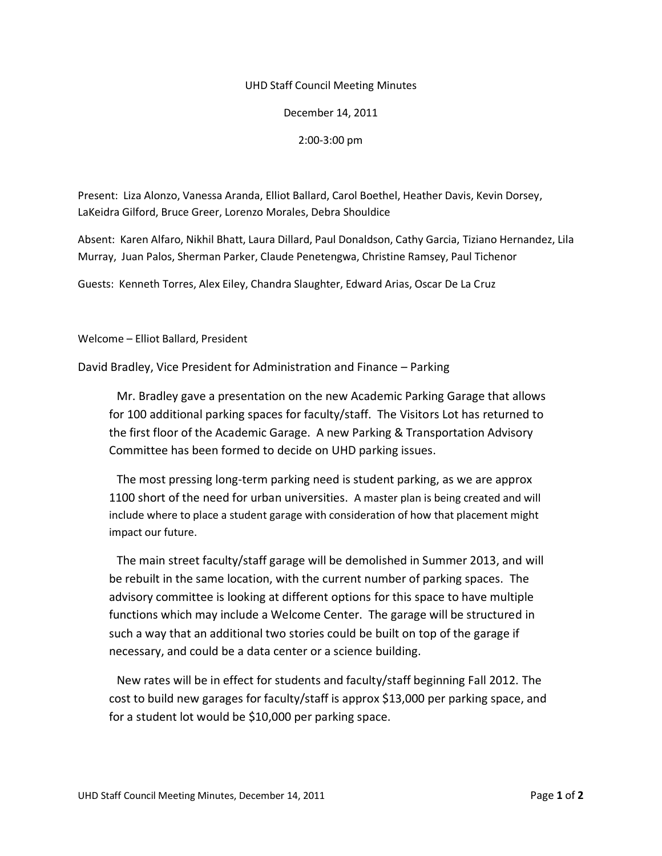## UHD Staff Council Meeting Minutes

December 14, 2011

2:00-3:00 pm

Present: Liza Alonzo, Vanessa Aranda, Elliot Ballard, Carol Boethel, Heather Davis, Kevin Dorsey, LaKeidra Gilford, Bruce Greer, Lorenzo Morales, Debra Shouldice

Absent: Karen Alfaro, Nikhil Bhatt, Laura Dillard, Paul Donaldson, Cathy Garcia, Tiziano Hernandez, Lila Murray, Juan Palos, Sherman Parker, Claude Penetengwa, Christine Ramsey, Paul Tichenor

Guests: Kenneth Torres, Alex Eiley, Chandra Slaughter, Edward Arias, Oscar De La Cruz

Welcome – Elliot Ballard, President

David Bradley, Vice President for Administration and Finance – Parking

Mr. Bradley gave a presentation on the new Academic Parking Garage that allows for 100 additional parking spaces for faculty/staff. The Visitors Lot has returned to the first floor of the Academic Garage. A new Parking & Transportation Advisory Committee has been formed to decide on UHD parking issues.

The most pressing long-term parking need is student parking, as we are approx 1100 short of the need for urban universities. A master plan is being created and will include where to place a student garage with consideration of how that placement might impact our future.

The main street faculty/staff garage will be demolished in Summer 2013, and will be rebuilt in the same location, with the current number of parking spaces. The advisory committee is looking at different options for this space to have multiple functions which may include a Welcome Center. The garage will be structured in such a way that an additional two stories could be built on top of the garage if necessary, and could be a data center or a science building.

New rates will be in effect for students and faculty/staff beginning Fall 2012. The cost to build new garages for faculty/staff is approx \$13,000 per parking space, and for a student lot would be \$10,000 per parking space.